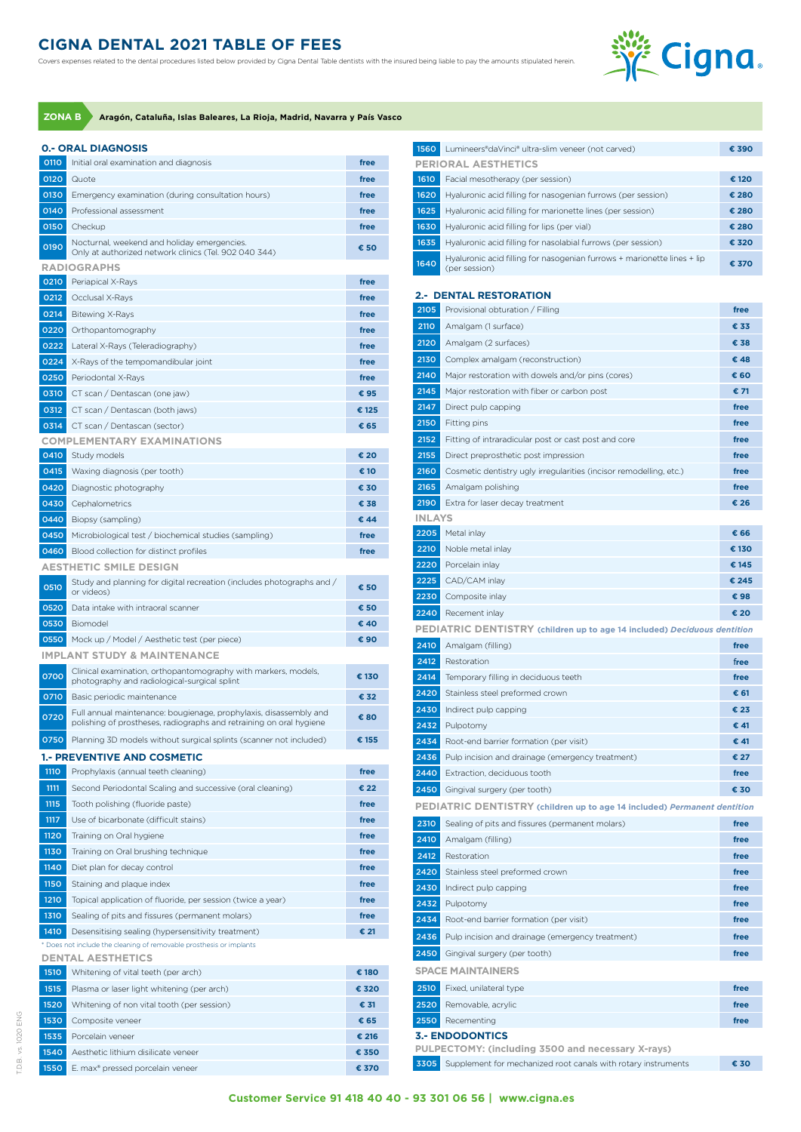## **CIGNA DENTAL 2021 TABLE OF FEES**

Covers expenses related to the dental procedures listed below provided by Cigna Dental Table dentists with the insured being liable to pay the amounts stipulated herein.



**ZONA B Aragón, Cataluña, Islas Baleares, La Rioja, Madrid, Navarra y País Vasco**

|  | 0 - ODAL DIAGNOS |  |
|--|------------------|--|

T.D.B. vs. 1020 ENG

T.D.B. vs. 1020 ENG

|             | <b>0.- ORAL DIAGNOSIS</b>                                                                                                                |       |
|-------------|------------------------------------------------------------------------------------------------------------------------------------------|-------|
| 0110        | Initial oral examination and diagnosis                                                                                                   | free  |
| 0120        | Quote                                                                                                                                    | free  |
| 0130        | Emergency examination (during consultation hours)                                                                                        | free  |
| 0140        | Professional assessment                                                                                                                  | free  |
| 0150        | Checkup                                                                                                                                  | free  |
|             | Nocturnal, weekend and holiday emergencies.                                                                                              |       |
| 0190        | Only at authorized network clinics (Tel. 902 040 344)                                                                                    | € 50  |
|             | <b>RADIOGRAPHS</b>                                                                                                                       |       |
| 0210        | Periapical X-Rays                                                                                                                        | free  |
| 0212        | Occlusal X-Rays                                                                                                                          | free  |
| 0214        | <b>Bitewing X-Rays</b>                                                                                                                   | free  |
| 0220        | Orthopantomography                                                                                                                       | free  |
| 0222        | Lateral X-Rays (Teleradiography)                                                                                                         | free  |
| 0224        | X-Rays of the tempomandibular joint                                                                                                      | free  |
| 0250        | Periodontal X-Rays                                                                                                                       | free  |
| 0310        | CT scan / Dentascan (one jaw)                                                                                                            | € 95  |
| 0312        | CT scan / Dentascan (both jaws)                                                                                                          | € 125 |
| 0314        | CT scan / Dentascan (sector)                                                                                                             | € 65  |
|             | <b>COMPLEMENTARY EXAMINATIONS</b>                                                                                                        |       |
| 0410        | Study models                                                                                                                             | € 20  |
| 0415        | Waxing diagnosis (per tooth)                                                                                                             | € 10  |
| 0420        | Diagnostic photography                                                                                                                   | € 30  |
| 0430        | Cephalometrics                                                                                                                           | € 38  |
| 0440        | Biopsy (sampling)                                                                                                                        | € 44  |
| 0450        | Microbiological test / biochemical studies (sampling)                                                                                    | free  |
| 0460        | Blood collection for distinct profiles                                                                                                   | free  |
|             | <b>AESTHETIC SMILE DESIGN</b>                                                                                                            |       |
| 0510        | Study and planning for digital recreation (includes photographs and /<br>or videos)                                                      | € 50  |
| 0520        | Data intake with intraoral scanner                                                                                                       | € 50  |
| 0530        | Biomodel                                                                                                                                 | € 40  |
| 0550        | Mock up / Model / Aesthetic test (per piece)                                                                                             | € 90  |
|             | <b>IMPLANT STUDY &amp; MAINTENANCE</b>                                                                                                   |       |
| 0700        | Clinical examination, orthopantomography with markers, models,<br>photography and radiological-surgical splint                           | € 130 |
| 0710        | Basic periodic maintenance                                                                                                               | € 32  |
| 0720        | Full annual maintenance: bougienage, prophylaxis, disassembly and<br>polishing of prostheses, radiographs and retraining on oral hygiene | € 80  |
| 0750        | Planning 3D models without surgical splints (scanner not included)                                                                       | € 155 |
|             | <b>1.- PREVENTIVE AND COSMETIC</b>                                                                                                       |       |
| <b>1110</b> | Prophylaxis (annual teeth cleaning)                                                                                                      | free  |
| 1111        | Second Periodontal Scaling and successive (oral cleaning)                                                                                | € 22  |
| 1115        | Tooth polishing (fluoride paste)                                                                                                         | free  |
| 1117        | Use of bicarbonate (difficult stains)                                                                                                    | free  |
| 1120        | Training on Oral hygiene                                                                                                                 | free  |
| 1130        | Training on Oral brushing technique                                                                                                      | free  |
| 1140        | Diet plan for decay control                                                                                                              | free  |
| <b>1150</b> | Staining and plaque index                                                                                                                | free  |
| 1210        | Topical application of fluoride, per session (twice a year)                                                                              | free  |
| 1310        | Sealing of pits and fissures (permanent molars)                                                                                          | free  |
| 1410        | Desensitising sealing (hypersensitivity treatment)                                                                                       | € 21  |
|             | * Does not include the cleaning of removable prosthesis or implants<br><b>DENTAL AESTHETICS</b>                                          |       |
| 1510        | Whitening of vital teeth (per arch)                                                                                                      | € 180 |
| 1515        | Plasma or laser light whitening (per arch)                                                                                               | € 320 |
| 1520        | Whitening of non vital tooth (per session)                                                                                               | € 31  |
| 1530        | Composite veneer                                                                                                                         | € 65  |
| 1535        | Porcelain veneer                                                                                                                         | € 216 |
| 1540        | Aesthetic lithium disilicate veneer                                                                                                      | € 350 |
| 1550        | E. max® pressed porcelain veneer                                                                                                         | € 370 |

| 1560                                                                            | Lumineers®daVinci® ultra-slim veneer (not carved)                                        | € 390 |  |
|---------------------------------------------------------------------------------|------------------------------------------------------------------------------------------|-------|--|
|                                                                                 | <b>PERIORAL AESTHETICS</b>                                                               |       |  |
| 1610                                                                            | Facial mesotherapy (per session)                                                         | € 120 |  |
| 1620                                                                            | Hyaluronic acid filling for nasogenian furrows (per session)                             | € 280 |  |
| 1625                                                                            | Hyaluronic acid filling for marionette lines (per session)                               | € 280 |  |
| 1630                                                                            | Hyaluronic acid filling for lips (per vial)                                              | € 280 |  |
| 1635                                                                            | Hyaluronic acid filling for nasolabial furrows (per session)                             | € 320 |  |
| 1640                                                                            | Hyaluronic acid filling for nasogenian furrows + marionette lines + lip<br>(per session) | € 370 |  |
|                                                                                 | <b>2.- DENTAL RESTORATION</b>                                                            |       |  |
| 2105                                                                            | Provisional obturation / Filling                                                         | free  |  |
| 2110                                                                            | Amalgam (1 surface)                                                                      | € 33  |  |
| 2120                                                                            | Amalgam (2 surfaces)                                                                     | € 38  |  |
| 2130                                                                            | Complex amalgam (reconstruction)                                                         | €48   |  |
| 2140                                                                            | Major restoration with dowels and/or pins (cores)                                        | € 60  |  |
| 2145                                                                            | Major restoration with fiber or carbon post                                              | € 71  |  |
| 2147                                                                            | Direct pulp capping                                                                      | free  |  |
| 2150                                                                            | Fitting pins                                                                             | free  |  |
| 2152                                                                            | Fitting of intraradicular post or cast post and core                                     | free  |  |
| 2155                                                                            | Direct preprosthetic post impression                                                     | free  |  |
| 2160                                                                            | Cosmetic dentistry ugly irregularities (incisor remodelling, etc.)                       | free  |  |
| 2165                                                                            | Amalgam polishing                                                                        | free  |  |
| 2190                                                                            | Extra for laser decay treatment                                                          | € 26  |  |
| <b>INLAYS</b>                                                                   |                                                                                          |       |  |
| 2205                                                                            | Metal inlay                                                                              | € 66  |  |
| 2210                                                                            | Noble metal inlay                                                                        | € 130 |  |
| 2220                                                                            | Porcelain inlay                                                                          | € 145 |  |
| 2225                                                                            | CAD/CAM inlay                                                                            | € 245 |  |
| 2230                                                                            | Composite inlay                                                                          | €98   |  |
| 2240                                                                            | Recement inlay                                                                           | € 20  |  |
|                                                                                 | <b>PEDIATRIC DENTISTRY</b> (children up to age 14 included) Deciduous dentition          |       |  |
| 2410                                                                            | Amalgam (filling)                                                                        | free  |  |
| 2412                                                                            | Restoration                                                                              | free  |  |
| 2414                                                                            | Temporary filling in deciduous teeth                                                     | free  |  |
| 2420                                                                            | Stainless steel preformed crown                                                          | € 61  |  |
| 2430                                                                            | Indirect pulp capping                                                                    | € 23  |  |
| 2432                                                                            | Pulpotomy                                                                                | € 41  |  |
| 2434                                                                            | Root-end barrier formation (per visit)                                                   | € 41  |  |
| 2436                                                                            | Pulp incision and drainage (emergency treatment)                                         | € 27  |  |
| 2440                                                                            | Extraction, deciduous tooth                                                              | free  |  |
| 2450                                                                            | Gingival surgery (per tooth)                                                             | € 30  |  |
| <b>PEDIATRIC DENTISTRY</b> (children up to age 14 included) Permanent dentition |                                                                                          |       |  |
| 2310                                                                            | Sealing of pits and fissures (permanent molars)                                          | free  |  |
| 2410                                                                            | Amalgam (filling)                                                                        | free  |  |
| 2412                                                                            | Restoration                                                                              | free  |  |
| 2420                                                                            | Stainless steel preformed crown                                                          | free  |  |
| 2430                                                                            | Indirect pulp capping                                                                    | free  |  |
| 2432                                                                            | Pulpotomy                                                                                | free  |  |
| 2434                                                                            | Root-end barrier formation (per visit)                                                   | free  |  |
| 2436                                                                            | Pulp incision and drainage (emergency treatment)                                         | free  |  |
| 2450                                                                            | Gingival surgery (per tooth)                                                             | free  |  |
|                                                                                 | <b>SPACE MAINTAINERS</b>                                                                 |       |  |
| 2510                                                                            | Fixed, unilateral type                                                                   | free  |  |
| 2520                                                                            | Removable, acrylic                                                                       | free  |  |
| 2550                                                                            | Recementing                                                                              | free  |  |
|                                                                                 | <b>3.- ENDODONTICS</b>                                                                   |       |  |
|                                                                                 | PULPECTOMY: (including 3500 and necessary X-rays)                                        |       |  |
| 3305                                                                            | Supplement for mechanized root canals with rotary instruments                            | € 30  |  |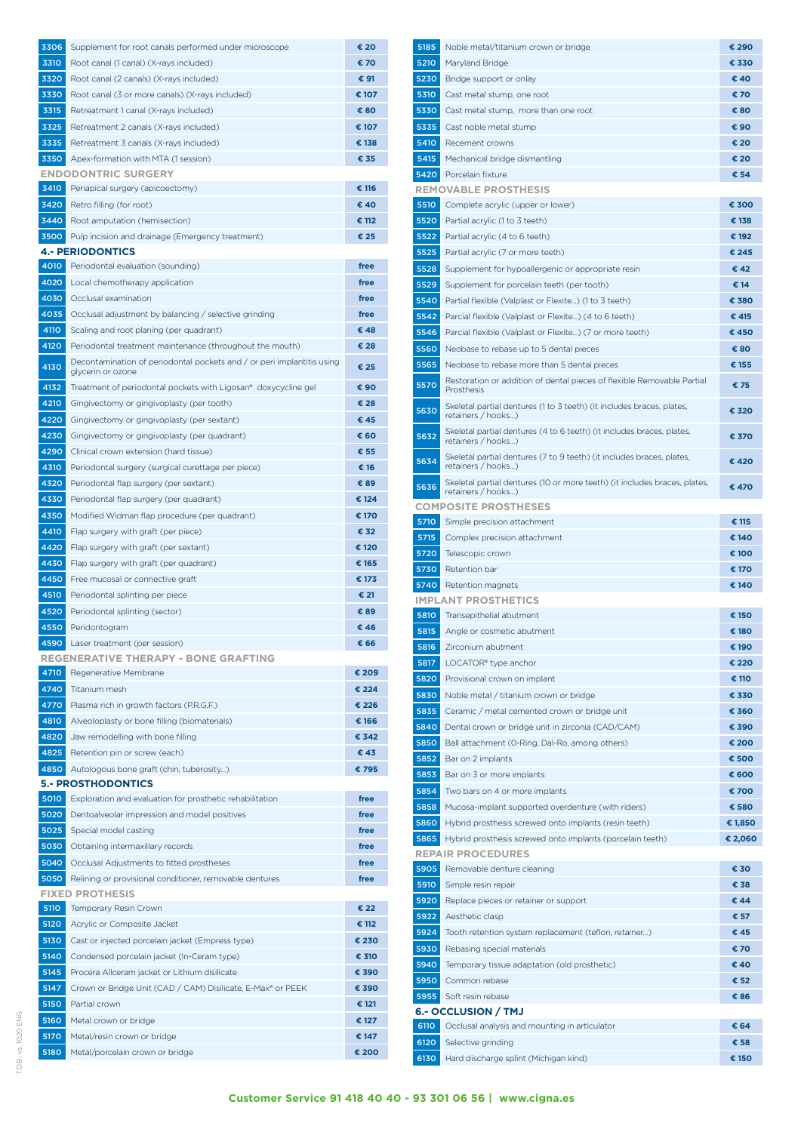| 3306         | Supplement for root canals performed under microscope                             | € 20          |
|--------------|-----------------------------------------------------------------------------------|---------------|
| 3310         | Root canal (1 canal) (X-rays included)                                            | € 70          |
| 3320         | Root canal (2 canals) (X-rays included)                                           | € 91          |
| 3330         | Root canal (3 or more canals) (X-rays included)                                   | € 107         |
| 3315         | Retreatment 1 canal (X-rays included)                                             | € 80          |
| 3325         | Retreatment 2 canals (X-rays included)                                            | € 107         |
| 3335         | Retreatment 3 canals (X-rays included)                                            | € 138         |
| 3350         | Apex-formation with MTA (1 session)                                               | € 35          |
|              | <b>ENDODONTRIC SURGERY</b>                                                        |               |
| 3410         | Periapical surgery (apicoectomy)                                                  | € 116         |
| 3420         | Retro filling (for root)                                                          | € 40          |
| 3440         | Root amputation (hemisection)                                                     | € 112         |
| 3500         | Pulp incision and drainage (Emergency treatment)<br><b>4.- PERIODONTICS</b>       | € 25          |
| 4010         | Periodontal evaluation (sounding)                                                 | free          |
| 4020         | Local chemotherapy application                                                    | free          |
| 4030         | Occlusal examination                                                              | free          |
| 4035         | Occlusal adjustment by balancing / selective grinding                             | free          |
| 4110         | Scaling and root planing (per quadrant)                                           | € 48          |
| 4120         | Periodontal treatment maintenance (throughout the mouth)                          | € 28          |
| 4130         | Decontamination of periodontal pockets and / or peri implantitis using            | € 25          |
|              | glycerin or ozone                                                                 |               |
| 4132         | Treatment of periodontal pockets with Ligosan® doxycycline gel                    | € 90          |
| 4210         | Gingivectomy or gingivoplasty (per tooth)                                         | € 28          |
| 4220         | Gingivectomy or gingivoplasty (per sextant)                                       | € 45          |
| 4230         | Gingivectomy or gingivoplasty (per quadrant)                                      | € 60          |
| 4290         | Clinical crown extension (hard tissue)                                            | € 55          |
| 4310         | Periodontal surgery (surgical curettage per piece)                                | € 16          |
| 4320         | Periodontal flap surgery (per sextant)                                            | € 89          |
| 4330         | Periodontal flap surgery (per quadrant)                                           | € 124         |
| 4350         | Modified Widman flap procedure (per quadrant)                                     | € 170<br>€ 32 |
| 4410<br>4420 | Flap surgery with graft (per piece)                                               | € 120         |
| 4430         | Flap surgery with graft (per sextant)<br>Flap surgery with graft (per quadrant)   | € 165         |
| 4450         | Free mucosal or connective graft                                                  | € 173         |
| 4510         | Periodontal splinting per piece                                                   | € 21          |
| 4520         | Periodontal splinting (sector)                                                    | € 89          |
| 4550         | Peridontogram                                                                     | € 46          |
| 4590         | Laser treatment (per session)                                                     | € 66          |
|              | <b>REGENERATIVE THERAPY - BONE GRAFTING</b>                                       |               |
| 4710         | Regenerative Membrane                                                             | € 209         |
| 4740         | Titanium mesh                                                                     | € 224         |
| 4770         | Plasma rich in growth factors (P.R.G.F.)                                          | € 226         |
| 4810         | Alveoloplasty or bone filling (biomaterials)                                      | € 166         |
| 4820         | Jaw remodelling with bone filling                                                 | € 342         |
| 4825         | Retention pin or screw (each)                                                     | €43           |
| 4850         | Autologous bone graft (chin, tuberosity)                                          | € 795         |
|              | <b>5.- PROSTHODONTICS</b>                                                         |               |
| 5010         | Exploration and evaluation for prosthetic rehabilitation                          | free          |
| 5020         | Dentoalveolar impression and model positives                                      | free          |
| 5025         | Special model casting                                                             | free          |
| 5030         | Obtaining intermaxillary records                                                  | free          |
| 5040         | Occlusal Adjustments to fitted prostheses                                         | free          |
| 5050         | Relining or provisional conditioner, removable dentures<br><b>FIXED PROTHESIS</b> | free          |
| 5110         | Temporary Resin Crown                                                             | € 22          |
| 5120         | Acrylic or Composite Jacket                                                       | € 112         |
| 5130         | Cast or injected porcelain jacket (Empress type)                                  | € 230         |
| 5140         | Condensed porcelain jacket (In-Ceram type)                                        | € 310         |
| 5145         | Procera Allceram jacket or Lithium disilicate                                     | € 390         |
| 5147         | Crown or Bridge Unit (CAD / CAM) Disilicate, E-Max® or PEEK                       | € 390         |
| 5150         | Partial crown                                                                     | € 121         |
| 5160         | Metal crown or bridge                                                             | € 127         |
| 5170         | Metal/resin crown or bridge                                                       | € 147         |
| 5180         | Metal/porcelain crown or bridge                                                   | € 200         |

| 5185         | Noble metal/titanium crown or bridge                                                            | € 290          |
|--------------|-------------------------------------------------------------------------------------------------|----------------|
| 5210         | Maryland Bridge                                                                                 | € 330          |
| 5230         | Bridge support or onlay                                                                         | € 40           |
| 5310         | Cast metal stump, one root                                                                      | € 70           |
| 5330         | Cast metal stump, more than one root                                                            | € 80           |
| 5335         | Cast noble metal stump                                                                          | € 90           |
| 5410         | Recement crowns                                                                                 | € 20           |
| 5415         | Mechanical bridge dismantling                                                                   | € 20           |
| 5420         | Porcelain fixture                                                                               | € 54           |
|              | <b>REMOVABLE PROSTHESIS</b>                                                                     |                |
| 5510         | Complete acrylic (upper or lower)                                                               | € 300          |
| 5520         | Partial acrylic (1 to 3 teeth)                                                                  | € 138          |
| 5522<br>5525 | Partial acrylic (4 to 6 teeth)                                                                  | € 192<br>€ 245 |
| 5528         | Partial acrylic (7 or more teeth)<br>Supplement for hypoallergenic or appropriate resin         | € 42           |
| 5529         | Supplement for porcelain teeth (per tooth)                                                      | € 14           |
| 5540         | Partial flexible (Valplast or Flexite) (1 to 3 teeth)                                           | € 380          |
| 5542         | Parcial flexible (Valplast or Flexite) (4 to 6 teeth)                                           | € 415          |
| 5546         | Parcial flexible (Valplast or Flexite) (7 or more teeth)                                        | €450           |
| 5560         | Neobase to rebase up to 5 dental pieces                                                         | € 80           |
| 5565         | Neobase to rebase more than 5 dental pieces                                                     | € 155          |
|              | Restoration or addition of dental pieces of flexible Removable Partial                          |                |
| 5570         | Prosthesis                                                                                      | € 75           |
| 5630         | Skeletal partial dentures (1 to 3 teeth) (it includes braces, plates,<br>retainers / hooks)     | € 320          |
| 5632         | Skeletal partial dentures (4 to 6 teeth) (it includes braces, plates,<br>retainers / hooks)     | € 370          |
| 5634         | Skeletal partial dentures (7 to 9 teeth) (it includes braces, plates,<br>retainers / hooks)     | € 420          |
| 5636         | Skeletal partial dentures (10 or more teeth) (it includes braces, plates,<br>retainers / hooks) | € 470          |
|              | <b>COMPOSITE PROSTHESES</b>                                                                     |                |
| 5710         | Simple precision attachment                                                                     | € 115          |
| 5715         | Complex precision attachment                                                                    | € 140          |
| 5720         | Telescopic crown                                                                                | € 100          |
| 5730<br>5740 | Retention bar                                                                                   | € 170<br>€ 140 |
|              | Retention magnets<br><b>IMPLANT PROSTHETICS</b>                                                 |                |
| 5810         | Transepithelial abutment                                                                        | € 150          |
| 5815         | Angle or cosmetic abutment                                                                      | € 180          |
| 5816         | Zirconium abutment                                                                              | € 190          |
| 5817         | LOCATOR <sup>®</sup> type anchor                                                                | € 220          |
| 5820         | Provisional crown on implant                                                                    | € 110          |
| 5830         | Noble metal / titanium crown or bridge                                                          | € 330          |
| 5835         | Ceramic / metal cemented crown or bridge unit                                                   | € 360          |
| 5840         | Dental crown or bridge unit in zirconia (CAD/CAM)                                               | € 390          |
| 5850         | Ball attachment (0-Ring, Dal-Ro, among others)                                                  | € 200          |
| 5852         | Bar on 2 implants                                                                               | € 500          |
| 5853         | Bar on 3 or more implants                                                                       | € 600          |
| 5854         | Two bars on 4 or more implants                                                                  | € 700          |
| 5858         | Mucosa-implant supported overdenture (with riders)                                              | € 580          |
| 5860         | Hybrid prosthesis screwed onto implants (resin teeth)                                           | € 1,850        |
| 5865         | Hybrid prosthesis screwed onto implants (porcelain teeth)                                       | € 2,060        |
|              | <b>REPAIR PROCEDURES</b>                                                                        |                |
| 5905         | Removable denture cleaning                                                                      | € 30           |
| 5910<br>5920 | Simple resin repair<br>Replace pieces or retainer or support                                    | € 38<br>€ 44   |
| 5922         | Aesthetic clasp                                                                                 | € 57           |
| 5924         | Tooth retention system replacement (teflon, retainer)                                           | € 45           |
| 5930         | Rebasing special materials                                                                      | € 70           |
| 5940         | Temporary tissue adaptation (old prosthetic)                                                    | € 40           |
| 5950         | Common rebase                                                                                   | € 52           |
| 5955         | Soft resin rebase                                                                               | € 86           |
|              | <b>6.- OCCLUSION / TMJ</b>                                                                      |                |
| 6110         | Occlusal analysis and mounting in articulator                                                   | € 64           |
| 6120         | Selective grinding                                                                              | € 58           |
| 6130         | Hard discharge splint (Michigan kind)                                                           | € 150          |